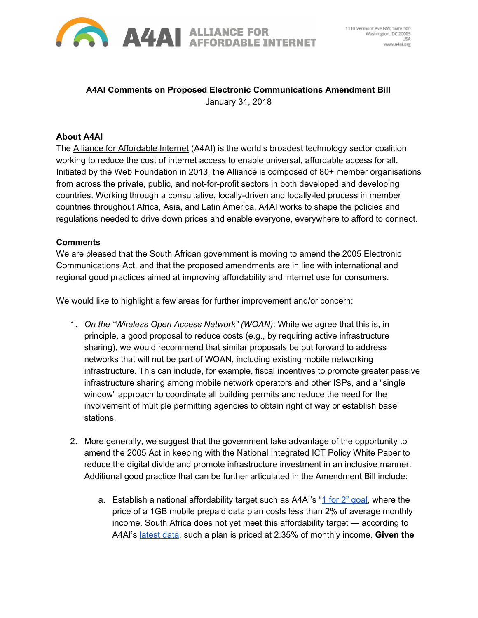

## **A4AI Comments on Proposed Electronic Communications Amendment Bill** January 31, 2018

## **About A4AI**

The **Alliance for [Affordable](http://a4ai.org/) Internet** (A4AI) is the world's broadest technology sector coalition working to reduce the cost of internet access to enable universal, affordable access for all. Initiated by the Web Foundation in 2013, the Alliance is composed of 80+ member organisations from across the private, public, and not-for-profit sectors in both developed and developing countries. Working through a consultative, locally-driven and locally-led process in member countries throughout Africa, Asia, and Latin America, A4AI works to shape the policies and regulations needed to drive down prices and enable everyone, everywhere to afford to connect.

## **Comments**

We are pleased that the South African government is moving to amend the 2005 Electronic Communications Act, and that the proposed amendments are in line with international and regional good practices aimed at improving affordability and internet use for consumers.

We would like to highlight a few areas for further improvement and/or concern:

- 1. *On the "Wireless Open Access Network" (WOAN)*: While we agree that this is, in principle, a good proposal to reduce costs (e.g., by requiring active infrastructure sharing), we would recommend that similar proposals be put forward to address networks that will not be part of WOAN, including existing mobile networking infrastructure. This can include, for example, fiscal incentives to promote greater passive infrastructure sharing among mobile network operators and other ISPs, and a "single window" approach to coordinate all building permits and reduce the need for the involvement of multiple permitting agencies to obtain right of way or establish base stations.
- 2. More generally, we suggest that the government take advantage of the opportunity to amend the 2005 Act in keeping with the National Integrated ICT Policy White Paper to reduce the digital divide and promote infrastructure investment in an inclusive manner. Additional good practice that can be further articulated in the Amendment Bill include:
	- a. Establish a national affordability target such as A4AI's "1 for 2" [goal,](http://a4ai.org/1for2-affordability-target/) where the price of a 1GB mobile prepaid data plan costs less than 2% of average monthly income. South Africa does not yet meet this affordability target — according to A4AI's [latest](http://a4ai.org/broadband-pricing-data-2017/) data, such a plan is priced at 2.35% of monthly income. **Given the**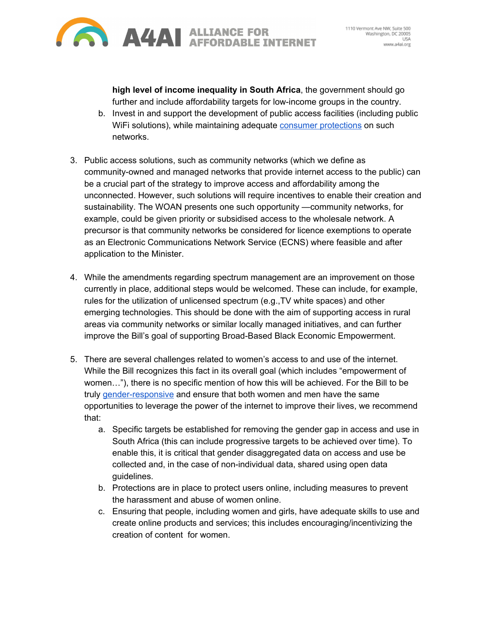

**high level of income inequality in South Africa**, the government should go further and include affordability targets for low-income groups in the country.

- b. Invest in and support the development of public access facilities (including public WiFi solutions), while maintaining adequate consumer [protections](http://a4ai.org/safety-first-making-public-wifi-work-for-users/) on such networks.
- 3. Public access solutions, such as community networks (which we define as community-owned and managed networks that provide internet access to the public) can be a crucial part of the strategy to improve access and affordability among the unconnected. However, such solutions will require incentives to enable their creation and sustainability. The WOAN presents one such opportunity —community networks, for example, could be given priority or subsidised access to the wholesale network. A precursor is that community networks be considered for licence exemptions to operate as an Electronic Communications Network Service (ECNS) where feasible and after application to the Minister.
- 4. While the amendments regarding spectrum management are an improvement on those currently in place, additional steps would be welcomed. These can include, for example, rules for the utilization of unlicensed spectrum (e.g.,TV white spaces) and other emerging technologies. This should be done with the aim of supporting access in rural areas via community networks or similar locally managed initiatives, and can further improve the Bill's goal of supporting Broad-Based Black Economic Empowerment.
- 5. There are several challenges related to women's access to and use of the internet. While the Bill recognizes this fact in its overall goal (which includes "empowerment of women…"), there is no specific mention of how this will be achieved. For the Bill to be truly [gender-responsive](https://webfoundation.org/research/react-with-gender-responsive-ict-policy/) and ensure that both women and men have the same opportunities to leverage the power of the internet to improve their lives, we recommend that:
	- a. Specific targets be established for removing the gender gap in access and use in South Africa (this can include progressive targets to be achieved over time). To enable this, it is critical that gender disaggregated data on access and use be collected and, in the case of non-individual data, shared using open data guidelines.
	- b. Protections are in place to protect users online, including measures to prevent the harassment and abuse of women online.
	- c. Ensuring that people, including women and girls, have adequate skills to use and create online products and services; this includes encouraging/incentivizing the creation of content for women.